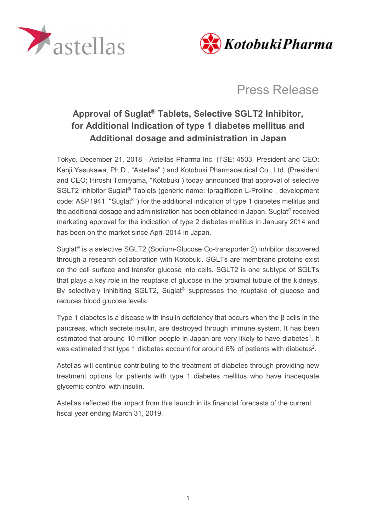



Press Release

## Approval of Suglat® Tablets, Selective SGLT2 Inhibitor, for Additional Indication of type 1 diabetes mellitus and Additional dosage and administration in Japan

Tokyo, December 21, 2018 - Astellas Pharma Inc. (TSE: 4503, President and CEO: Kenji Yasukawa, Ph.D., "Astellas" ) and Kotobuki Pharmaceutical Co., Ltd. (President and CEO; Hiroshi Tomiyama, "Kotobuki") today announced that approval of selective SGLT2 inhibitor Suglat<sup>®</sup> Tablets (generic name: Ipragliflozin L-Proline, development code: ASP1941, "Suglat®") for the additional indication of type 1 diabetes mellitus and the additional dosage and administration has been obtained in Japan. Suglat® received marketing approval for the indication of type 2 diabetes mellitus in January 2014 and has been on the market since April 2014 in Japan.

Suglat® is a selective SGLT2 (Sodium-Glucose Co-transporter 2) inhibitor discovered through a research collaboration with Kotobuki. SGLTs are membrane proteins exist on the cell surface and transfer glucose into cells. SGLT2 is one subtype of SGLTs that plays a key role in the reuptake of glucose in the proximal tubule of the kidneys. By selectively inhibiting SGLT2, Suglat<sup>®</sup> suppresses the reuptake of glucose and reduces blood glucose levels.

Type 1 diabetes is a disease with insulin deficiency that occurs when the β cells in the pancreas, which secrete insulin, are destroyed through immune system. It has been estimated that around 10 million people in Japan are very likely to have diabetes<sup>1</sup>. It was estimated that type 1 diabetes account for around 6% of patients with diabetes<sup>2</sup>.

Astellas will continue contributing to the treatment of diabetes through providing new treatment options for patients with type 1 diabetes mellitus who have inadequate glycemic control with insulin.

Astellas reflected the impact from this launch in its financial forecasts of the current fiscal year ending March 31, 2019.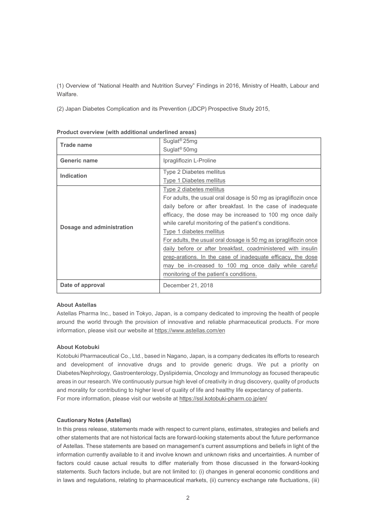(1) Overview of "National Health and Nutrition Survey" Findings in 2016, Ministry of Health, Labour and Walfare.

(2) Japan Diabetes Complication and its Prevention (JDCP) Prospective Study 2015,

| <b>Trade name</b>         | Suglat <sup>®</sup> 25mg                                         |  |  |  |  |
|---------------------------|------------------------------------------------------------------|--|--|--|--|
|                           | Suglat <sup>®</sup> 50mg                                         |  |  |  |  |
| <b>Generic name</b>       | Ipragliflozin L-Proline                                          |  |  |  |  |
| <b>Indication</b>         | Type 2 Diabetes mellitus                                         |  |  |  |  |
|                           | <b>Type 1 Diabetes mellitus</b>                                  |  |  |  |  |
| Dosage and administration | Type 2 diabetes mellitus                                         |  |  |  |  |
|                           | For adults, the usual oral dosage is 50 mg as ipragliflozin once |  |  |  |  |
|                           | daily before or after breakfast. In the case of inadequate       |  |  |  |  |
|                           | efficacy, the dose may be increased to 100 mg once daily         |  |  |  |  |
|                           | while careful monitoring of the patient's conditions.            |  |  |  |  |
|                           | Type 1 diabetes mellitus                                         |  |  |  |  |
|                           | For adults, the usual oral dosage is 50 mg as ipragliflozin once |  |  |  |  |
|                           | daily before or after breakfast, coadministered with insulin     |  |  |  |  |
|                           | prep-arations. In the case of inadequate efficacy, the dose      |  |  |  |  |
|                           | may be in-creased to 100 mg once daily while careful             |  |  |  |  |
|                           | monitoring of the patient's conditions.                          |  |  |  |  |
| Date of approval          | December 21, 2018                                                |  |  |  |  |

|  |  | Product overview (with additional underlined areas) |  |
|--|--|-----------------------------------------------------|--|
|  |  |                                                     |  |

## About Astellas

Astellas Pharma Inc., based in Tokyo, Japan, is a company dedicated to improving the health of people around the world through the provision of innovative and reliable pharmaceutical products. For more information, please visit our website at https://www.astellas.com/en

## About Kotobuki

Kotobuki Pharmaceutical Co., Ltd., based in Nagano, Japan, is a company dedicates its efforts to research and development of innovative drugs and to provide generic drugs. We put a priority on Diabetes/Nephrology, Gastroenterology, Dyslipidemia, Oncology and Immunology as focused therapeutic areas in our research. We continuously pursue high level of creativity in drug discovery, quality of products and morality for contributing to higher level of quality of life and healthy life expectancy of patients. For more information, please visit our website at https://ssl.kotobuki-pharm.co.jp/en/

## Cautionary Notes (Astellas)

In this press release, statements made with respect to current plans, estimates, strategies and beliefs and other statements that are not historical facts are forward-looking statements about the future performance of Astellas. These statements are based on management's current assumptions and beliefs in light of the information currently available to it and involve known and unknown risks and uncertainties. A number of factors could cause actual results to differ materially from those discussed in the forward-looking statements. Such factors include, but are not limited to: (i) changes in general economic conditions and in laws and regulations, relating to pharmaceutical markets, (ii) currency exchange rate fluctuations, (iii)